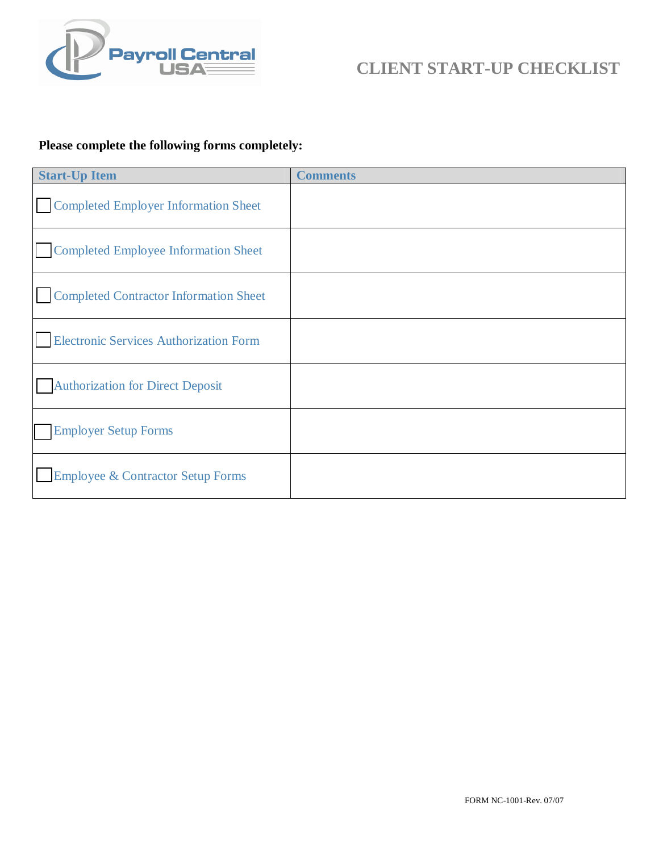

### **Please complete the following forms completely:**

| <b>Start-Up Item</b>                          | <b>Comments</b> |
|-----------------------------------------------|-----------------|
| Completed Employer Information Sheet          |                 |
| <b>Completed Employee Information Sheet</b>   |                 |
| <b>Completed Contractor Information Sheet</b> |                 |
| <b>Electronic Services Authorization Form</b> |                 |
| <b>Authorization for Direct Deposit</b>       |                 |
| <b>Employer Setup Forms</b>                   |                 |
| <b>Employee &amp; Contractor Setup Forms</b>  |                 |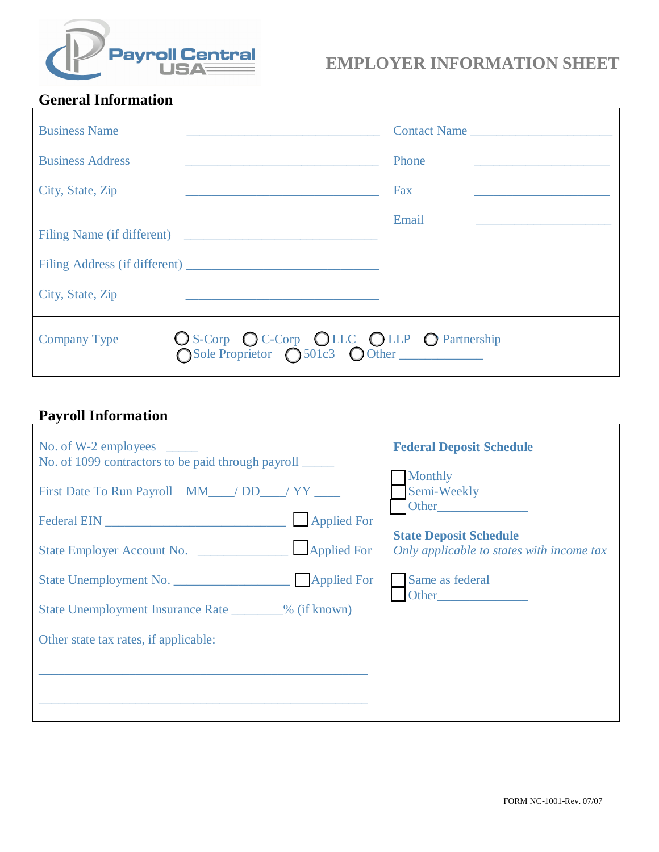

## **General Information**

| <b>Business Name</b>                                                                                    | Contact Name |
|---------------------------------------------------------------------------------------------------------|--------------|
| <b>Business Address</b>                                                                                 | Phone        |
| City, State, Zip                                                                                        | Fax          |
| Filing Name (if different)                                                                              | Email        |
|                                                                                                         |              |
| City, State, Zip<br><u> 1980 - Johann Stein, marwolaethau a bhann an t-</u>                             |              |
| O S-Corp O C-Corp O LLC O LLP O Partnership<br>O Sole Proprietor O 501c3 O Other<br><b>Company Type</b> |              |

# **Payroll Information**

| No. of 1099 contractors to be paid through payroll     | <b>Federal Deposit Schedule</b>                                            |
|--------------------------------------------------------|----------------------------------------------------------------------------|
| First Date To Run Payroll MM__/DD__/YY___              | <b>Monthly</b><br>Semi-Weekly<br>Other <b>Community</b>                    |
|                                                        | <b>State Deposit Schedule</b><br>Only applicable to states with income tax |
|                                                        | Same as federal                                                            |
| State Unemployment Insurance Rate ________% (if known) | Other                                                                      |
| Other state tax rates, if applicable:                  |                                                                            |
|                                                        |                                                                            |
|                                                        |                                                                            |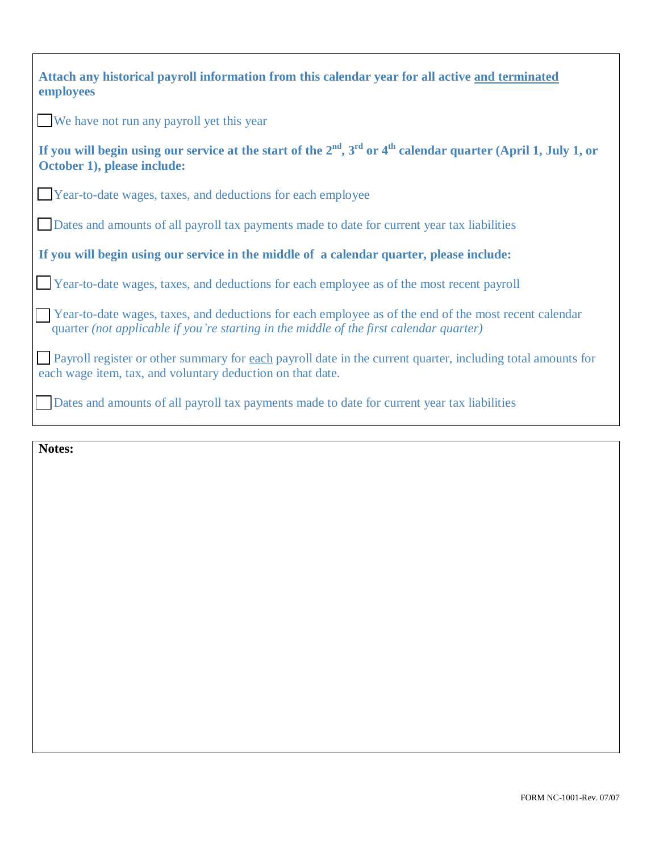| Attach any historical payroll information from this calendar year for all active and terminated<br>employees                                                                                     |
|--------------------------------------------------------------------------------------------------------------------------------------------------------------------------------------------------|
| We have not run any payroll yet this year                                                                                                                                                        |
| If you will begin using our service at the start of the $2nd$ , $3rd$ or 4 <sup>th</sup> calendar quarter (April 1, July 1, or<br>October 1), please include:                                    |
| Year-to-date wages, taxes, and deductions for each employee                                                                                                                                      |
| Dates and amounts of all payroll tax payments made to date for current year tax liabilities                                                                                                      |
| If you will begin using our service in the middle of a calendar quarter, please include:                                                                                                         |
| Year-to-date wages, taxes, and deductions for each employee as of the most recent payroll                                                                                                        |
| Year-to-date wages, taxes, and deductions for each employee as of the end of the most recent calendar<br>quarter (not applicable if you're starting in the middle of the first calendar quarter) |
| Payroll register or other summary for each payroll date in the current quarter, including total amounts for<br>each wage item, tax, and voluntary deduction on that date.                        |
| Dates and amounts of all payroll tax payments made to date for current year tax liabilities                                                                                                      |

**Notes:**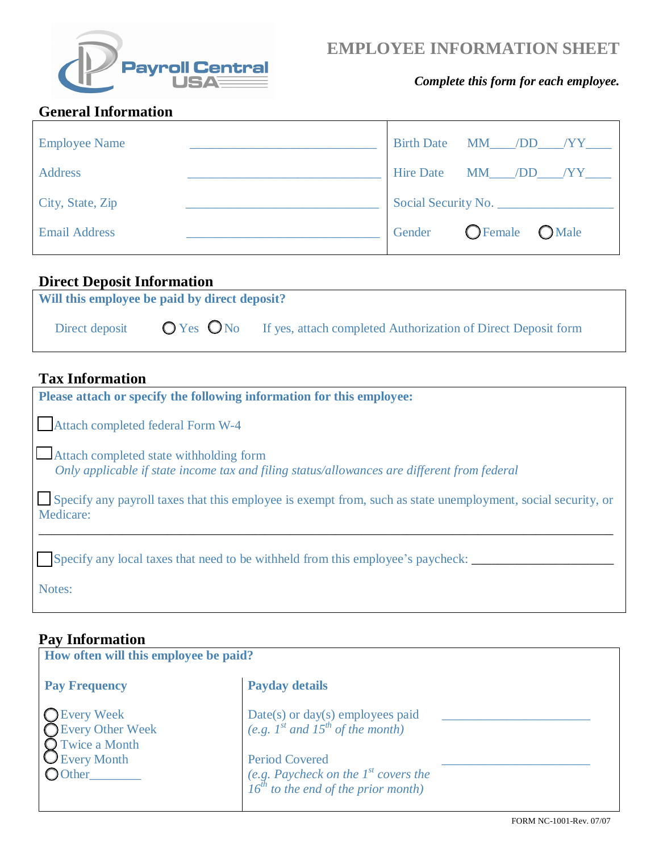

# **EMPLOYEE INFORMATION SHEET**

#### *Complete this form for each employee.*

### **General Information**

| <b>Employee Name</b> | Birth Date MM /DD /YY                         |  |
|----------------------|-----------------------------------------------|--|
| <b>Address</b>       | Hire Date MM /DD /YY                          |  |
| City, State, Zip     | Social Security No.                           |  |
| <b>Email Address</b> | $\bigcirc$ Female $\qquad$<br>OMale<br>Gender |  |

### **Direct Deposit Information**

| Will this employee be paid by direct deposit? |  |                                                                                            |  |  |
|-----------------------------------------------|--|--------------------------------------------------------------------------------------------|--|--|
| Direct deposit                                |  | $\bigcirc$ Yes $\bigcirc$ No If yes, attach completed Authorization of Direct Deposit form |  |  |

### **Tax Information**

| Please attach or specify the following information for this employee:                                                                  |
|----------------------------------------------------------------------------------------------------------------------------------------|
| Attach completed federal Form W-4                                                                                                      |
| Attach completed state withholding form<br>Only applicable if state income tax and filing status/allowances are different from federal |
| Specify any payroll taxes that this employee is exempt from, such as state unemployment, social security, or<br>Medicare:              |
|                                                                                                                                        |
| Specify any local taxes that need to be withheld from this employee's paycheck:                                                        |
| Notes:                                                                                                                                 |

# **Pay Information**

| How often will this employee be paid?                                                                        |                                                                                                                                                                                               |  |  |
|--------------------------------------------------------------------------------------------------------------|-----------------------------------------------------------------------------------------------------------------------------------------------------------------------------------------------|--|--|
| <b>Pay Frequency</b>                                                                                         | <b>Payday details</b>                                                                                                                                                                         |  |  |
| <b>O</b> Every Week<br><b>O</b> Every Other Week<br><b>O</b> Twice a Month<br><b>U</b> Every Month<br>OOther | Date(s) or day(s) employees paid<br>(e.g. $1^{st}$ and $15^{th}$ of the month)<br><b>Period Covered</b><br>(e.g. Paycheck on the $1^{st}$ covers the $16^{th}$ to the end of the prior month) |  |  |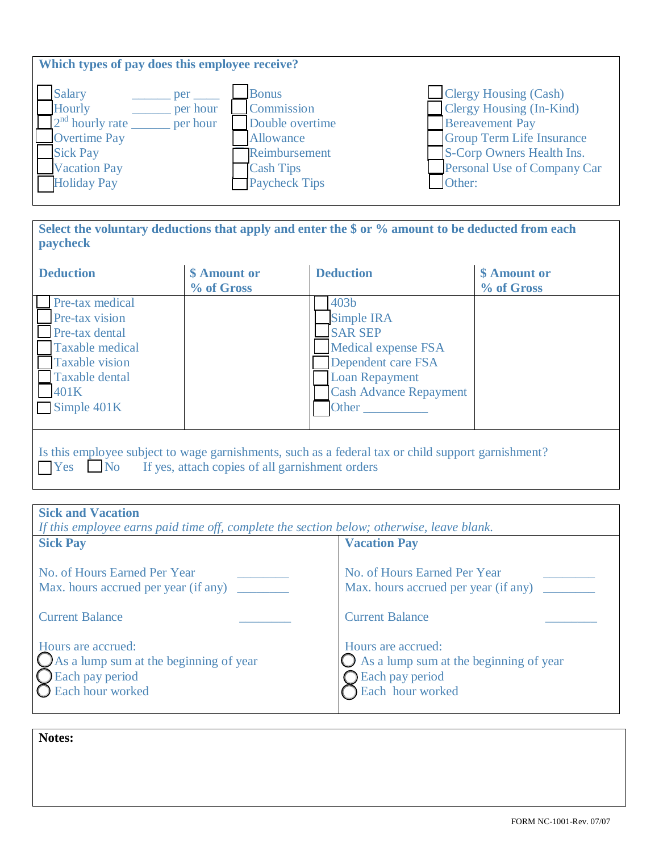| Which types of pay does this employee receive?                                                                                                                     |                                                                                                                         |                                                                                                                                                                                       |  |  |
|--------------------------------------------------------------------------------------------------------------------------------------------------------------------|-------------------------------------------------------------------------------------------------------------------------|---------------------------------------------------------------------------------------------------------------------------------------------------------------------------------------|--|--|
| <b>Salary</b><br>per<br>Hourly<br>per hour<br>$2nd$ hourly rate<br>per hour<br><b>Overtime Pay</b><br><b>Sick Pay</b><br><b>Vacation Pay</b><br><b>Holiday Pay</b> | <b>Bonus</b><br>Commission<br>Double overtime<br>Allowance<br>Reimbursement<br><b>Cash Tips</b><br><b>Paycheck Tips</b> | Clergy Housing (Cash)<br>Clergy Housing (In-Kind)<br><b>Bereavement Pay</b><br><b>Group Term Life Insurance</b><br>S-Corp Owners Health Ins.<br>Personal Use of Company Car<br>Other: |  |  |

**Select the voluntary deductions that apply and enter the \$ or % amount to be deducted from each paycheck** 

| <b>Deduction</b>                                                                                                                                                      | \$ Amount or<br>% of Gross | <b>Deduction</b>                                                                                                                                                        | \$ Amount or<br>% of Gross |
|-----------------------------------------------------------------------------------------------------------------------------------------------------------------------|----------------------------|-------------------------------------------------------------------------------------------------------------------------------------------------------------------------|----------------------------|
| Pre-tax medical<br><b>Pre-tax vision</b><br>Pre-tax dental<br>Taxable medical<br><b>Taxable vision</b><br><b>Taxable dental</b><br>401K<br>$\blacksquare$ Simple 401K |                            | 403 <sub>b</sub><br>Simple IRA<br><b>SAR SEP</b><br><b>Medical expense FSA</b><br>Dependent care FSA<br><b>Loan Repayment</b><br><b>Cash Advance Repayment</b><br>Other |                            |
| Is this employee subject to wage garnishments, such as a federal tax or child support garnishment?<br>Yes No<br>If yes, attach copies of all garnishment orders       |                            |                                                                                                                                                                         |                            |

| <b>Sick and Vacation</b>                                                                                      |                                                                                                               |
|---------------------------------------------------------------------------------------------------------------|---------------------------------------------------------------------------------------------------------------|
| If this employee earns paid time off, complete the section below; otherwise, leave blank.                     |                                                                                                               |
| <b>Sick Pay</b>                                                                                               | <b>Vacation Pay</b>                                                                                           |
| No. of Hours Earned Per Year<br>Max. hours accrued per year (if any)                                          | No. of Hours Earned Per Year<br>Max. hours accrued per year (if any)                                          |
| <b>Current Balance</b>                                                                                        | <b>Current Balance</b>                                                                                        |
| Hours are accrued:<br>$\bigcup$ As a lump sum at the beginning of year<br>Each pay period<br>Each hour worked | Hours are accrued:<br>$\bigcup$ As a lump sum at the beginning of year<br>Each pay period<br>Each hour worked |

**Notes:**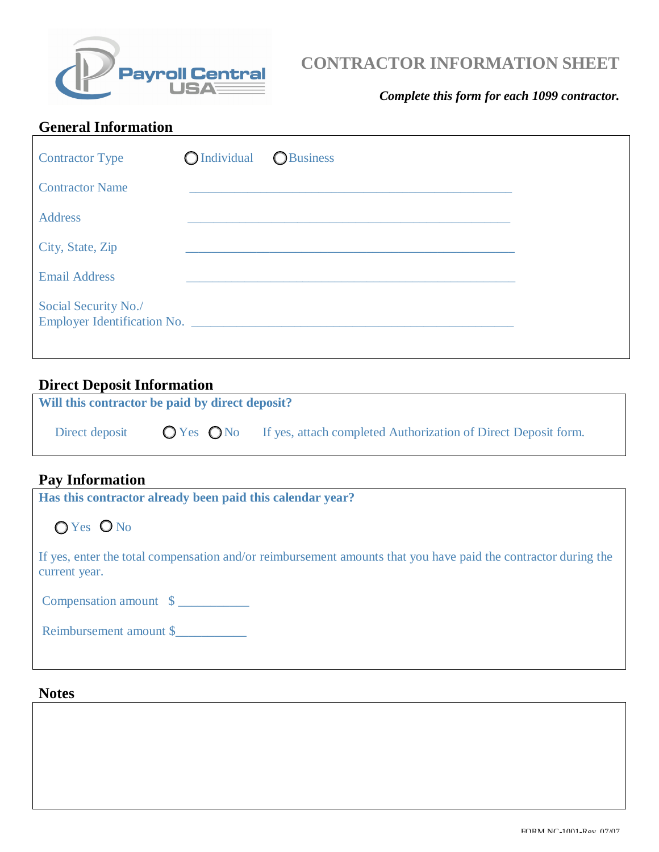

# **CONTRACTOR INFORMATION SHEET**

#### *Complete this form for each 1099 contractor.*

### **General Information**

| <b>Contractor Type</b> | OIndividual OBusiness |  |
|------------------------|-----------------------|--|
| <b>Contractor Name</b> |                       |  |
| <b>Address</b>         |                       |  |
| City, State, Zip       |                       |  |
| <b>Email Address</b>   |                       |  |
| Social Security No./   |                       |  |

#### **Direct Deposit Information**

| Will this contractor be paid by direct deposit? |  |                                                                                                            |
|-------------------------------------------------|--|------------------------------------------------------------------------------------------------------------|
|                                                 |  | Direct deposit $\bigcirc$ Yes $\bigcirc$ No If yes, attach completed Authorization of Direct Deposit form. |
|                                                 |  |                                                                                                            |

#### **Pay Information**

**Has this contractor already been paid this calendar year?**

OYes ONo

If yes, enter the total compensation and/or reimbursement amounts that you have paid the contractor during the current year.

Compensation amount \$ \_\_\_\_\_\_\_\_\_\_\_

Reimbursement amount \$

#### **Notes**